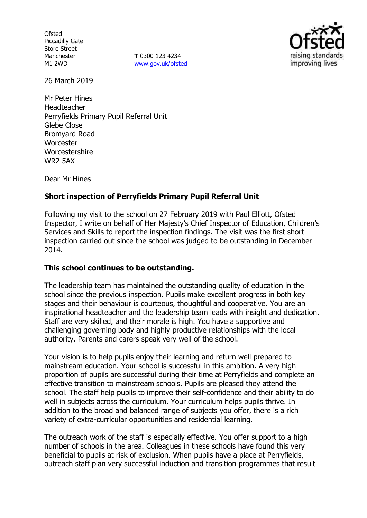**Ofsted** Piccadilly Gate Store Street Manchester M1 2WD

**T** 0300 123 4234 www.gov.uk/ofsted



26 March 2019

Mr Peter Hines Headteacher Perryfields Primary Pupil Referral Unit Glebe Close Bromyard Road **Worcester Worcestershire** WR2 5AX

Dear Mr Hines

# **Short inspection of Perryfields Primary Pupil Referral Unit**

Following my visit to the school on 27 February 2019 with Paul Elliott, Ofsted Inspector, I write on behalf of Her Majesty's Chief Inspector of Education, Children's Services and Skills to report the inspection findings. The visit was the first short inspection carried out since the school was judged to be outstanding in December 2014.

## **This school continues to be outstanding.**

The leadership team has maintained the outstanding quality of education in the school since the previous inspection. Pupils make excellent progress in both key stages and their behaviour is courteous, thoughtful and cooperative. You are an inspirational headteacher and the leadership team leads with insight and dedication. Staff are very skilled, and their morale is high. You have a supportive and challenging governing body and highly productive relationships with the local authority. Parents and carers speak very well of the school.

Your vision is to help pupils enjoy their learning and return well prepared to mainstream education. Your school is successful in this ambition. A very high proportion of pupils are successful during their time at Perryfields and complete an effective transition to mainstream schools. Pupils are pleased they attend the school. The staff help pupils to improve their self-confidence and their ability to do well in subjects across the curriculum. Your curriculum helps pupils thrive. In addition to the broad and balanced range of subjects you offer, there is a rich variety of extra-curricular opportunities and residential learning.

The outreach work of the staff is especially effective. You offer support to a high number of schools in the area. Colleagues in these schools have found this very beneficial to pupils at risk of exclusion. When pupils have a place at Perryfields, outreach staff plan very successful induction and transition programmes that result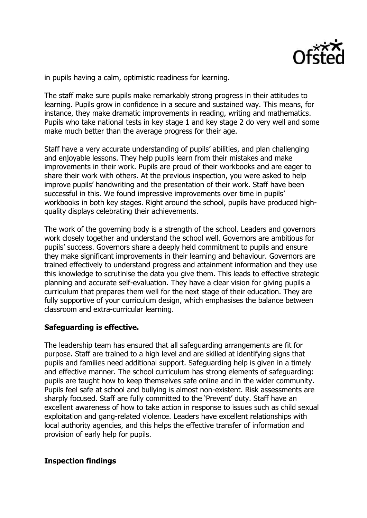

in pupils having a calm, optimistic readiness for learning.

The staff make sure pupils make remarkably strong progress in their attitudes to learning. Pupils grow in confidence in a secure and sustained way. This means, for instance, they make dramatic improvements in reading, writing and mathematics. Pupils who take national tests in key stage 1 and key stage 2 do very well and some make much better than the average progress for their age.

Staff have a very accurate understanding of pupils' abilities, and plan challenging and enjoyable lessons. They help pupils learn from their mistakes and make improvements in their work. Pupils are proud of their workbooks and are eager to share their work with others. At the previous inspection, you were asked to help improve pupils' handwriting and the presentation of their work. Staff have been successful in this. We found impressive improvements over time in pupils' workbooks in both key stages. Right around the school, pupils have produced highquality displays celebrating their achievements.

The work of the governing body is a strength of the school. Leaders and governors work closely together and understand the school well. Governors are ambitious for pupils' success. Governors share a deeply held commitment to pupils and ensure they make significant improvements in their learning and behaviour. Governors are trained effectively to understand progress and attainment information and they use this knowledge to scrutinise the data you give them. This leads to effective strategic planning and accurate self-evaluation. They have a clear vision for giving pupils a curriculum that prepares them well for the next stage of their education. They are fully supportive of your curriculum design, which emphasises the balance between classroom and extra-curricular learning.

## **Safeguarding is effective.**

The leadership team has ensured that all safeguarding arrangements are fit for purpose. Staff are trained to a high level and are skilled at identifying signs that pupils and families need additional support. Safeguarding help is given in a timely and effective manner. The school curriculum has strong elements of safeguarding: pupils are taught how to keep themselves safe online and in the wider community. Pupils feel safe at school and bullying is almost non-existent. Risk assessments are sharply focused. Staff are fully committed to the 'Prevent' duty. Staff have an excellent awareness of how to take action in response to issues such as child sexual exploitation and gang-related violence. Leaders have excellent relationships with local authority agencies, and this helps the effective transfer of information and provision of early help for pupils.

## **Inspection findings**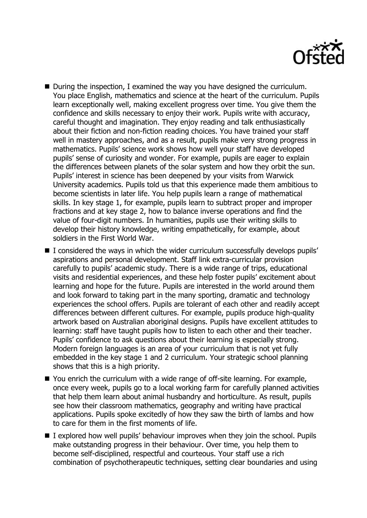

- During the inspection, I examined the way you have designed the curriculum. You place English, mathematics and science at the heart of the curriculum. Pupils learn exceptionally well, making excellent progress over time. You give them the confidence and skills necessary to enjoy their work. Pupils write with accuracy, careful thought and imagination. They enjoy reading and talk enthusiastically about their fiction and non-fiction reading choices. You have trained your staff well in mastery approaches, and as a result, pupils make very strong progress in mathematics. Pupils' science work shows how well your staff have developed pupils' sense of curiosity and wonder. For example, pupils are eager to explain the differences between planets of the solar system and how they orbit the sun. Pupils' interest in science has been deepened by your visits from Warwick University academics. Pupils told us that this experience made them ambitious to become scientists in later life. You help pupils learn a range of mathematical skills. In key stage 1, for example, pupils learn to subtract proper and improper fractions and at key stage 2, how to balance inverse operations and find the value of four-digit numbers. In humanities, pupils use their writing skills to develop their history knowledge, writing empathetically, for example, about soldiers in the First World War.
- $\blacksquare$  I considered the ways in which the wider curriculum successfully develops pupils' aspirations and personal development. Staff link extra-curricular provision carefully to pupils' academic study. There is a wide range of trips, educational visits and residential experiences, and these help foster pupils' excitement about learning and hope for the future. Pupils are interested in the world around them and look forward to taking part in the many sporting, dramatic and technology experiences the school offers. Pupils are tolerant of each other and readily accept differences between different cultures. For example, pupils produce high-quality artwork based on Australian aboriginal designs. Pupils have excellent attitudes to learning: staff have taught pupils how to listen to each other and their teacher. Pupils' confidence to ask questions about their learning is especially strong. Modern foreign languages is an area of your curriculum that is not yet fully embedded in the key stage 1 and 2 curriculum. Your strategic school planning shows that this is a high priority.
- You enrich the curriculum with a wide range of off-site learning. For example, once every week, pupils go to a local working farm for carefully planned activities that help them learn about animal husbandry and horticulture. As result, pupils see how their classroom mathematics, geography and writing have practical applications. Pupils spoke excitedly of how they saw the birth of lambs and how to care for them in the first moments of life.
- $\blacksquare$  I explored how well pupils' behaviour improves when they join the school. Pupils make outstanding progress in their behaviour. Over time, you help them to become self-disciplined, respectful and courteous. Your staff use a rich combination of psychotherapeutic techniques, setting clear boundaries and using